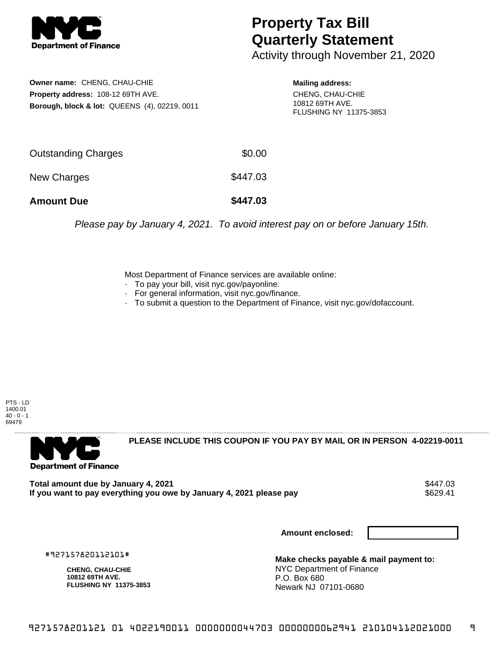

## **Property Tax Bill Quarterly Statement**

Activity through November 21, 2020

**Owner name:** CHENG, CHAU-CHIE **Property address:** 108-12 69TH AVE. **Borough, block & lot:** QUEENS (4), 02219, 0011 **Mailing address:**

CHENG, CHAU-CHIE 10812 69TH AVE. FLUSHING NY 11375-3853

| <b>Amount Due</b>   | \$447.03 |
|---------------------|----------|
| New Charges         | \$447.03 |
| Outstanding Charges | \$0.00   |

Please pay by January 4, 2021. To avoid interest pay on or before January 15th.

Most Department of Finance services are available online:

- · To pay your bill, visit nyc.gov/payonline.
- For general information, visit nyc.gov/finance.
- · To submit a question to the Department of Finance, visit nyc.gov/dofaccount.

PTS - LD 1400.01  $40 - 0 - 1$ 69479



**PLEASE INCLUDE THIS COUPON IF YOU PAY BY MAIL OR IN PERSON 4-02219-0011** 

Total amount due by January 4, 2021<br>If you want to pay everything you owe by January 4, 2021 please pay **show that the senate of the S629.41** If you want to pay everything you owe by January 4, 2021 please pay

**Amount enclosed:**

#927157820112101#

**CHENG, CHAU-CHIE 10812 69TH AVE. FLUSHING NY 11375-3853**

**Make checks payable & mail payment to:** NYC Department of Finance P.O. Box 680 Newark NJ 07101-0680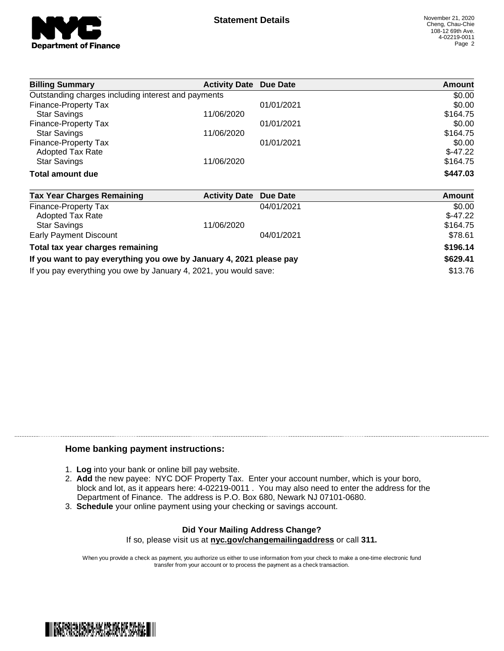

| <b>Billing Summary</b>                              | <b>Activity Date Due Date</b> |            | Amount    |
|-----------------------------------------------------|-------------------------------|------------|-----------|
| Outstanding charges including interest and payments |                               |            | \$0.00    |
| Finance-Property Tax                                |                               | 01/01/2021 | \$0.00    |
| <b>Star Savings</b>                                 | 11/06/2020                    |            | \$164.75  |
| Finance-Property Tax                                |                               | 01/01/2021 | \$0.00    |
| <b>Star Savings</b>                                 | 11/06/2020                    |            | \$164.75  |
| Finance-Property Tax                                |                               | 01/01/2021 | \$0.00    |
| <b>Adopted Tax Rate</b>                             |                               |            | $$-47.22$ |
| <b>Star Savings</b>                                 | 11/06/2020                    |            | \$164.75  |
| Total amount due                                    |                               |            | \$447.03  |

| <b>Tax Year Charges Remaining</b>                                   | <b>Activity Date Due Date</b> |            | Amount    |
|---------------------------------------------------------------------|-------------------------------|------------|-----------|
| Finance-Property Tax                                                |                               | 04/01/2021 | \$0.00    |
| <b>Adopted Tax Rate</b>                                             |                               |            | $$-47.22$ |
| <b>Star Savings</b>                                                 | 11/06/2020                    |            | \$164.75  |
| Early Payment Discount                                              |                               | 04/01/2021 | \$78.61   |
| Total tax year charges remaining                                    |                               |            | \$196.14  |
| If you want to pay everything you owe by January 4, 2021 please pay |                               |            | \$629.41  |
| If you pay everything you owe by January 4, 2021, you would save:   |                               | \$13.76    |           |

## **Home banking payment instructions:**

- 1. **Log** into your bank or online bill pay website.
- 2. **Add** the new payee: NYC DOF Property Tax. Enter your account number, which is your boro, block and lot, as it appears here: 4-02219-0011 . You may also need to enter the address for the Department of Finance. The address is P.O. Box 680, Newark NJ 07101-0680.
- 3. **Schedule** your online payment using your checking or savings account.

## **Did Your Mailing Address Change?** If so, please visit us at **nyc.gov/changemailingaddress** or call **311.**

When you provide a check as payment, you authorize us either to use information from your check to make a one-time electronic fund transfer from your account or to process the payment as a check transaction.